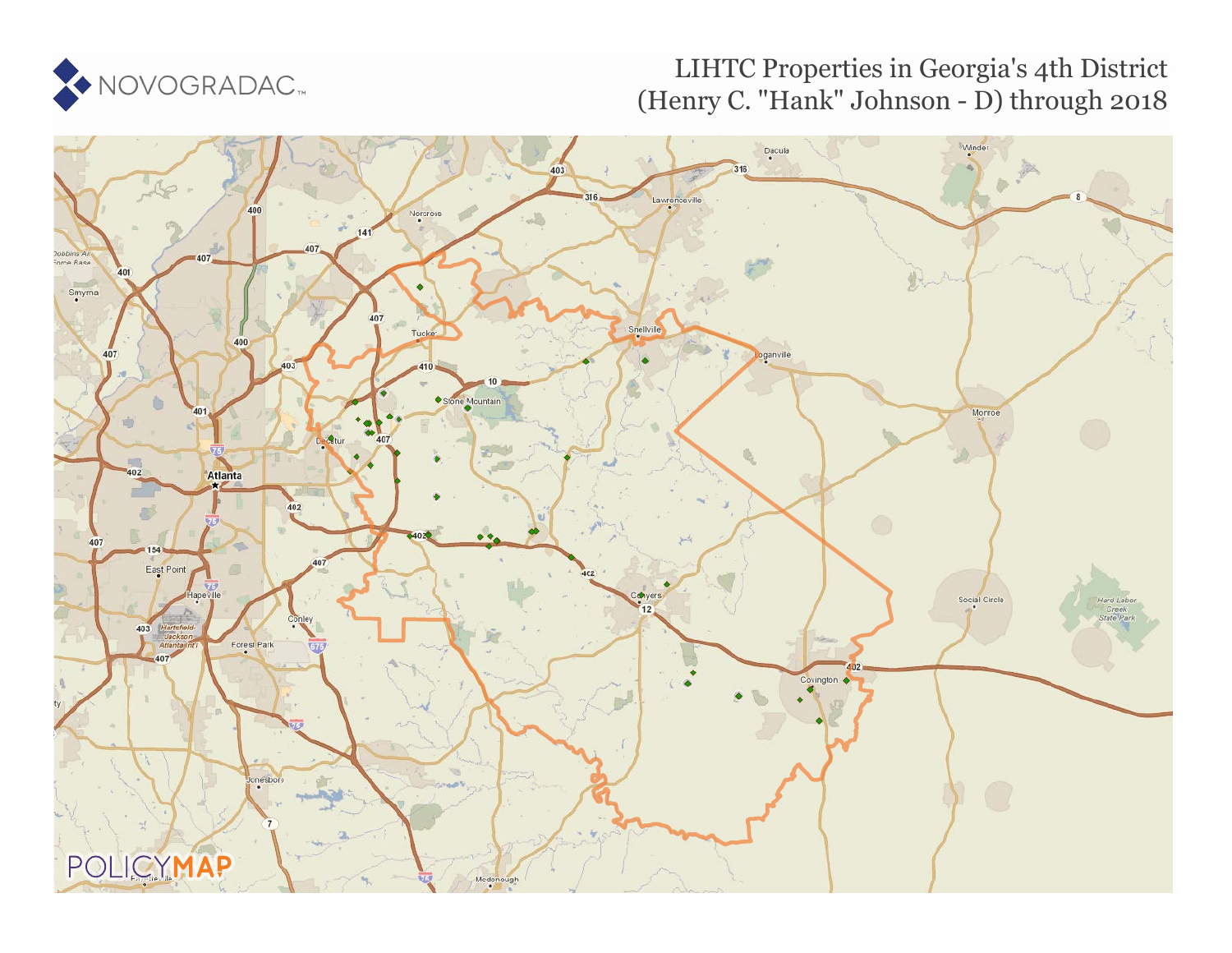

## LIHTC Properties in Georgia's 4th District (Henry C. "Hank" Johnson - D) through 2018

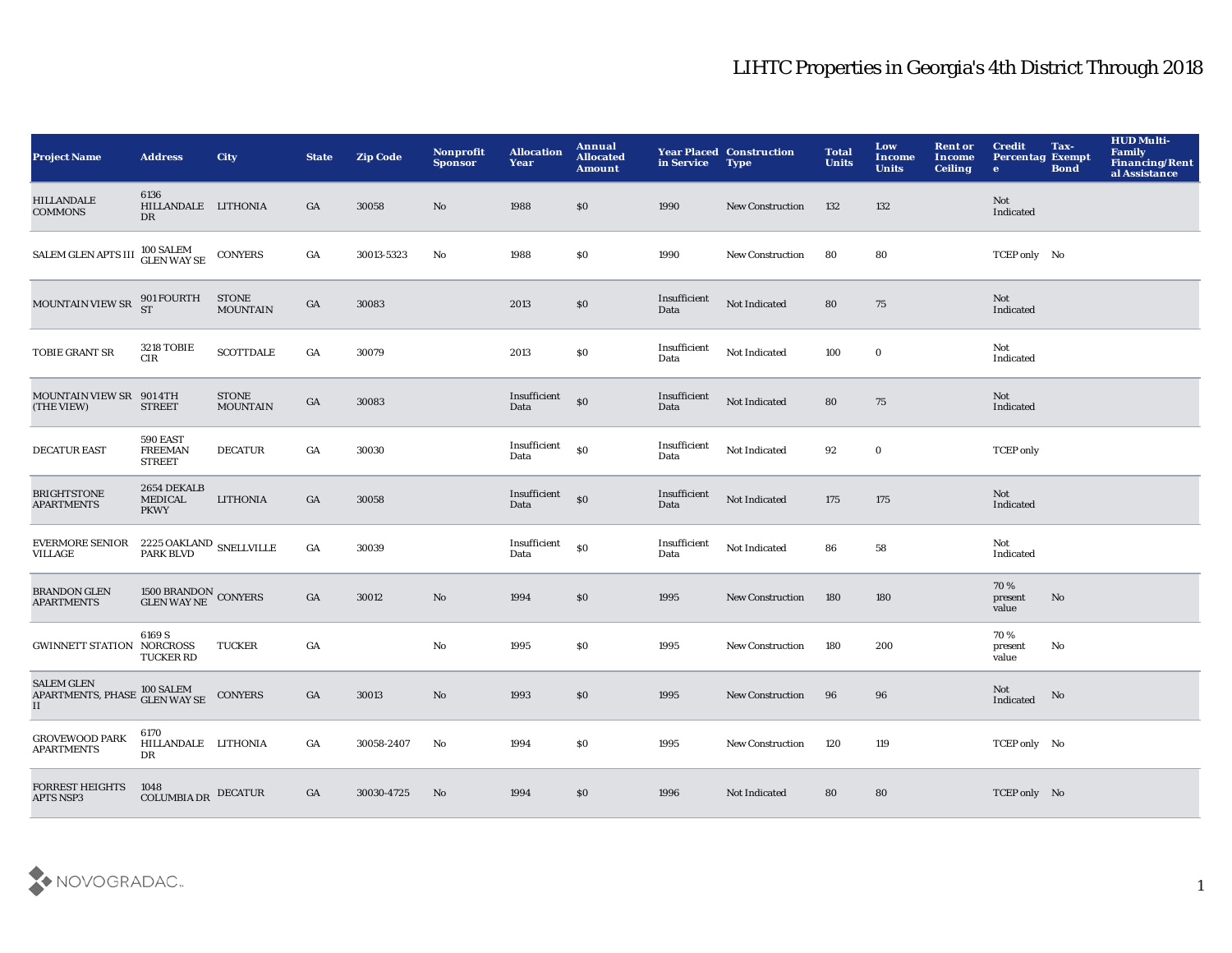| <b>Project Name</b>                                                    | <b>Address</b>                               | <b>City</b>                     | <b>State</b>     | <b>Zip Code</b> | Nonprofit<br><b>Sponsor</b> | <b>Allocation</b><br>Year | Annual<br><b>Allocated</b><br>Amount | in Service           | <b>Year Placed Construction</b><br><b>Type</b> | <b>Total</b><br><b>Units</b> | Low<br><b>Income</b><br><b>Units</b> | <b>Rent or</b><br>Income<br><b>Ceiling</b> | <b>Credit</b><br><b>Percentag Exempt</b><br>$\bullet$ | Tax-<br><b>Bond</b> | <b>HUD Multi-</b><br><b>Family</b><br><b>Financing/Rent</b><br>al Assistance |
|------------------------------------------------------------------------|----------------------------------------------|---------------------------------|------------------|-----------------|-----------------------------|---------------------------|--------------------------------------|----------------------|------------------------------------------------|------------------------------|--------------------------------------|--------------------------------------------|-------------------------------------------------------|---------------------|------------------------------------------------------------------------------|
| <b>HILLANDALE</b><br><b>COMMONS</b>                                    | 6136<br>HILLANDALE LITHONIA<br>DR            |                                 | GA               | 30058           | No                          | 1988                      | \$0                                  | 1990                 | <b>New Construction</b>                        | 132                          | 132                                  |                                            | Not<br>Indicated                                      |                     |                                                                              |
| SALEM GLEN APTS III <sup>100</sup> SALEM<br>GLEN WAY SE                |                                              | <b>CONYERS</b>                  | GA               | 30013-5323      | No                          | 1988                      | <b>SO</b>                            | 1990                 | <b>New Construction</b>                        | 80                           | 80                                   |                                            | TCEP only No                                          |                     |                                                                              |
| <b>MOUNTAIN VIEW SR</b>                                                | 901 FOURTH<br>ST                             | STONE<br>MOUNTAIN               | GA               | 30083           |                             | 2013                      | $\$0$                                | Insufficient<br>Data | Not Indicated                                  | 80                           | 75                                   |                                            | Not<br>Indicated                                      |                     |                                                                              |
| TOBIE GRANT SR                                                         | <b>3218 TOBIE</b><br>$_{\rm CIR}$            | <b>SCOTTDALE</b>                | GA               | 30079           |                             | 2013                      | \$0                                  | Insufficient<br>Data | Not Indicated                                  | 100                          | $\bf{0}$                             |                                            | Not<br>Indicated                                      |                     |                                                                              |
| MOUNTAIN VIEW SR 901 4TH<br>(THE VIEW)                                 | <b>STREET</b>                                | <b>STONE</b><br><b>MOUNTAIN</b> | $_{\mathrm{GA}}$ | 30083           |                             | Insufficient<br>Data      | \$0                                  | Insufficient<br>Data | Not Indicated                                  | 80                           | 75                                   |                                            | Not<br>Indicated                                      |                     |                                                                              |
| <b>DECATUR EAST</b>                                                    | 590 EAST<br><b>FREEMAN</b><br><b>STREET</b>  | <b>DECATUR</b>                  | GA               | 30030           |                             | Insufficient<br>Data      | \$0                                  | Insufficient<br>Data | Not Indicated                                  | 92                           | $\bf{0}$                             |                                            | <b>TCEP</b> only                                      |                     |                                                                              |
| <b>BRIGHTSTONE</b><br><b>APARTMENTS</b>                                | 2654 DEKALB<br><b>MEDICAL</b><br><b>PKWY</b> | <b>LITHONIA</b>                 | GA               | 30058           |                             | Insufficient<br>Data      | \$0                                  | Insufficient<br>Data | Not Indicated                                  | 175                          | 175                                  |                                            | Not<br>Indicated                                      |                     |                                                                              |
| <b>EVERMORE SENIOR</b><br><b>VILLAGE</b>                               | $2225$ OAKLAND $\,$ SNELLVILLE PARK BLVD     |                                 | GA               | 30039           |                             | Insufficient<br>Data      | \$0                                  | Insufficient<br>Data | Not Indicated                                  | 86                           | 58                                   |                                            | Not<br>Indicated                                      |                     |                                                                              |
| <b>BRANDON GLEN</b><br><b>APARTMENTS</b>                               | $1500$ BRANDON $\,$ CONYERS GLEN WAY NE      |                                 | GA               | 30012           | No                          | 1994                      | \$0                                  | 1995                 | <b>New Construction</b>                        | 180                          | 180                                  |                                            | 70%<br>present<br>value                               | No                  |                                                                              |
| <b>GWINNETT STATION NORCROSS</b>                                       | 6169 S<br><b>TUCKER RD</b>                   | <b>TUCKER</b>                   | GA               |                 | No                          | 1995                      | \$0                                  | 1995                 | <b>New Construction</b>                        | 180                          | 200                                  |                                            | 70%<br>present<br>value                               | No                  |                                                                              |
| <b>SALEM GLEN</b><br>APARTMENTS, PHASE 100 SALEM<br>IT<br>$\mathbf{I}$ |                                              | <b>CONYERS</b>                  | GA               | 30013           | No                          | 1993                      | \$0                                  | 1995                 | <b>New Construction</b>                        | 96                           | 96                                   |                                            | Not<br>Indicated                                      | No                  |                                                                              |
| <b>GROVEWOOD PARK</b><br><b>APARTMENTS</b>                             | 6170<br>HILLANDALE LITHONIA<br>DR            |                                 | GA               | 30058-2407      | No                          | 1994                      | \$0                                  | 1995                 | <b>New Construction</b>                        | 120                          | 119                                  |                                            | TCEP only No                                          |                     |                                                                              |
| <b>FORREST HEIGHTS</b><br><b>APTS NSP3</b>                             | 1048<br><b>COLUMBIA DR</b>                   | <b>DECATUR</b>                  | GA               | 30030-4725      | No                          | 1994                      | \$0                                  | 1996                 | <b>Not Indicated</b>                           | 80                           | 80                                   |                                            | TCEP only No                                          |                     |                                                                              |

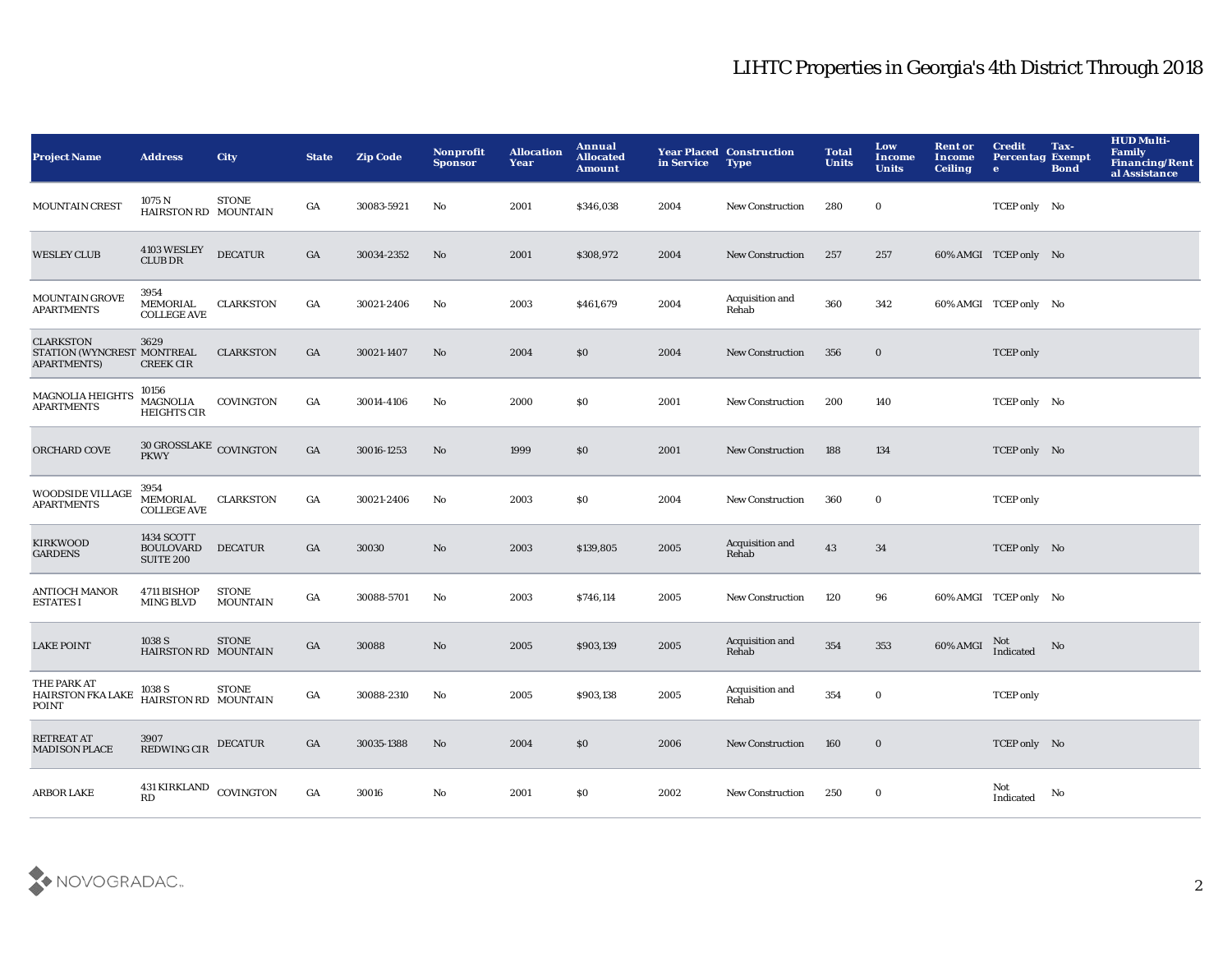| <b>Project Name</b>                                                  | <b>Address</b>                                     | <b>City</b>                     | <b>State</b>     | <b>Zip Code</b> | <b>Nonprofit</b><br><b>Sponsor</b> | <b>Allocation</b><br>Year | Annual<br><b>Allocated</b><br><b>Amount</b> | in Service | <b>Year Placed Construction</b><br><b>Type</b> | <b>Total</b><br><b>Units</b> | Low<br><b>Income</b><br><b>Units</b> | <b>Rent or</b><br>Income<br><b>Ceiling</b> | <b>Credit</b><br><b>Percentag Exempt</b><br>$\bullet$ | Tax-<br><b>Bond</b> | <b>HUD Multi-</b><br><b>Family</b><br><b>Financing/Rent</b><br>al Assistance |
|----------------------------------------------------------------------|----------------------------------------------------|---------------------------------|------------------|-----------------|------------------------------------|---------------------------|---------------------------------------------|------------|------------------------------------------------|------------------------------|--------------------------------------|--------------------------------------------|-------------------------------------------------------|---------------------|------------------------------------------------------------------------------|
| <b>MOUNTAIN CREST</b>                                                | 1075 N<br>HAIRSTON RD MOUNTAIN                     | <b>STONE</b>                    | GA               | 30083-5921      | No                                 | 2001                      | \$346,038                                   | 2004       | <b>New Construction</b>                        | 280                          | $\mathbf 0$                          |                                            | TCEP only No                                          |                     |                                                                              |
| <b>WESLEY CLUB</b>                                                   | $4103\rm\, WESLEY$ CLUB DR                         | <b>DECATUR</b>                  | $_{\mathrm{GA}}$ | 30034-2352      | $\mathbf{N}\mathbf{o}$             | 2001                      | \$308,972                                   | 2004       | New Construction                               | 257                          | 257                                  |                                            | 60% AMGI TCEP only No                                 |                     |                                                                              |
| <b>MOUNTAIN GROVE</b><br><b>APARTMENTS</b>                           | 3954<br>MEMORIAL<br><b>COLLEGE AVE</b>             | <b>CLARKSTON</b>                | $_{\mathrm{GA}}$ | 30021-2406      | $\mathbf{N}\mathbf{o}$             | 2003                      | \$461,679                                   | 2004       | Acquisition and<br>Rehab                       | 360                          | 342                                  |                                            | 60% AMGI TCEP only No                                 |                     |                                                                              |
| <b>CLARKSTON</b><br>STATION (WYNCREST MONTREAL<br><b>APARTMENTS)</b> | 3629<br><b>CREEK CIR</b>                           | <b>CLARKSTON</b>                | GA               | 30021-1407      | No                                 | 2004                      | \$0                                         | 2004       | <b>New Construction</b>                        | 356                          | $\bf{0}$                             |                                            | <b>TCEP</b> only                                      |                     |                                                                              |
| <b>MAGNOLIA HEIGHTS</b><br><b>APARTMENTS</b>                         | 10156<br>MAGNOLIA<br><b>HEIGHTS CIR</b>            | COVINGTON                       | GA               | 30014-4106      | No                                 | 2000                      | <b>SO</b>                                   | 2001       | <b>New Construction</b>                        | 200                          | 140                                  |                                            | TCEP only No                                          |                     |                                                                              |
| ORCHARD COVE                                                         | 30 GROSSLAKE COVINGTON<br><b>PKWY</b>              |                                 | GA               | 30016-1253      | No                                 | 1999                      | \$0                                         | 2001       | <b>New Construction</b>                        | 188                          | 134                                  |                                            | TCEP only No                                          |                     |                                                                              |
| <b>WOODSIDE VILLAGE</b><br><b>APARTMENTS</b>                         | 3954<br>MEMORIAL<br><b>COLLEGE AVE</b>             | <b>CLARKSTON</b>                | $_{\mathrm{GA}}$ | 30021-2406      | $\mathbf{N}\mathbf{o}$             | 2003                      | \$0                                         | 2004       | <b>New Construction</b>                        | 360                          | $\bf{0}$                             |                                            | <b>TCEP</b> only                                      |                     |                                                                              |
| <b>KIRKWOOD</b><br><b>GARDENS</b>                                    | 1434 SCOTT<br><b>BOULOVARD</b><br><b>SUITE 200</b> | <b>DECATUR</b>                  | GA               | 30030           | No                                 | 2003                      | \$139,805                                   | 2005       | Acquisition and<br>Rehab                       | 43                           | 34                                   |                                            | TCEP only No                                          |                     |                                                                              |
| <b>ANTIOCH MANOR</b><br><b>ESTATES I</b>                             | 4711 BISHOP<br><b>MING BLVD</b>                    | <b>STONE</b><br><b>MOUNTAIN</b> | $_{\mathrm{GA}}$ | 30088-5701      | No                                 | 2003                      | \$746,114                                   | 2005       | <b>New Construction</b>                        | 120                          | 96                                   |                                            | 60% AMGI TCEP only No                                 |                     |                                                                              |
| <b>LAKE POINT</b>                                                    | 1038 S<br>HAIRSTON RD MOUNTAIN                     | <b>STONE</b>                    | GA               | 30088           | $\mathbf{N}\mathbf{o}$             | 2005                      | \$903,139                                   | 2005       | Acquisition and<br>Rehab                       | 354                          | 353                                  | 60% AMGI                                   | Not<br>Indicated                                      | No                  |                                                                              |
| THE PARK AT<br><b>HAIRSTON FKA LAKE</b><br>POINT                     | 1038 S<br>HAIRSTON RD MOUNTAIN                     | <b>STONE</b>                    | $_{\mathrm{GA}}$ | 30088-2310      | $\mathbf{N}\mathbf{o}$             | 2005                      | \$903,138                                   | 2005       | Acquisition and<br>Rehab                       | 354                          | $\mathbf 0$                          |                                            | <b>TCEP</b> only                                      |                     |                                                                              |
| <b>RETREAT AT</b><br><b>MADISON PLACE</b>                            | 3907<br>REDWING CIR                                | <b>DECATUR</b>                  | GA               | 30035-1388      | No                                 | 2004                      | \$0                                         | 2006       | New Construction                               | 160                          | $\bf{0}$                             |                                            | TCEP only No                                          |                     |                                                                              |
| <b>ARBOR LAKE</b>                                                    | 431 KIRKLAND COVINGTON<br><b>RD</b>                |                                 | GA               | 30016           | No                                 | 2001                      | S <sub>0</sub>                              | 2002       | <b>New Construction</b>                        | 250                          | $\bf{0}$                             |                                            | Not<br>Indicated                                      | No                  |                                                                              |

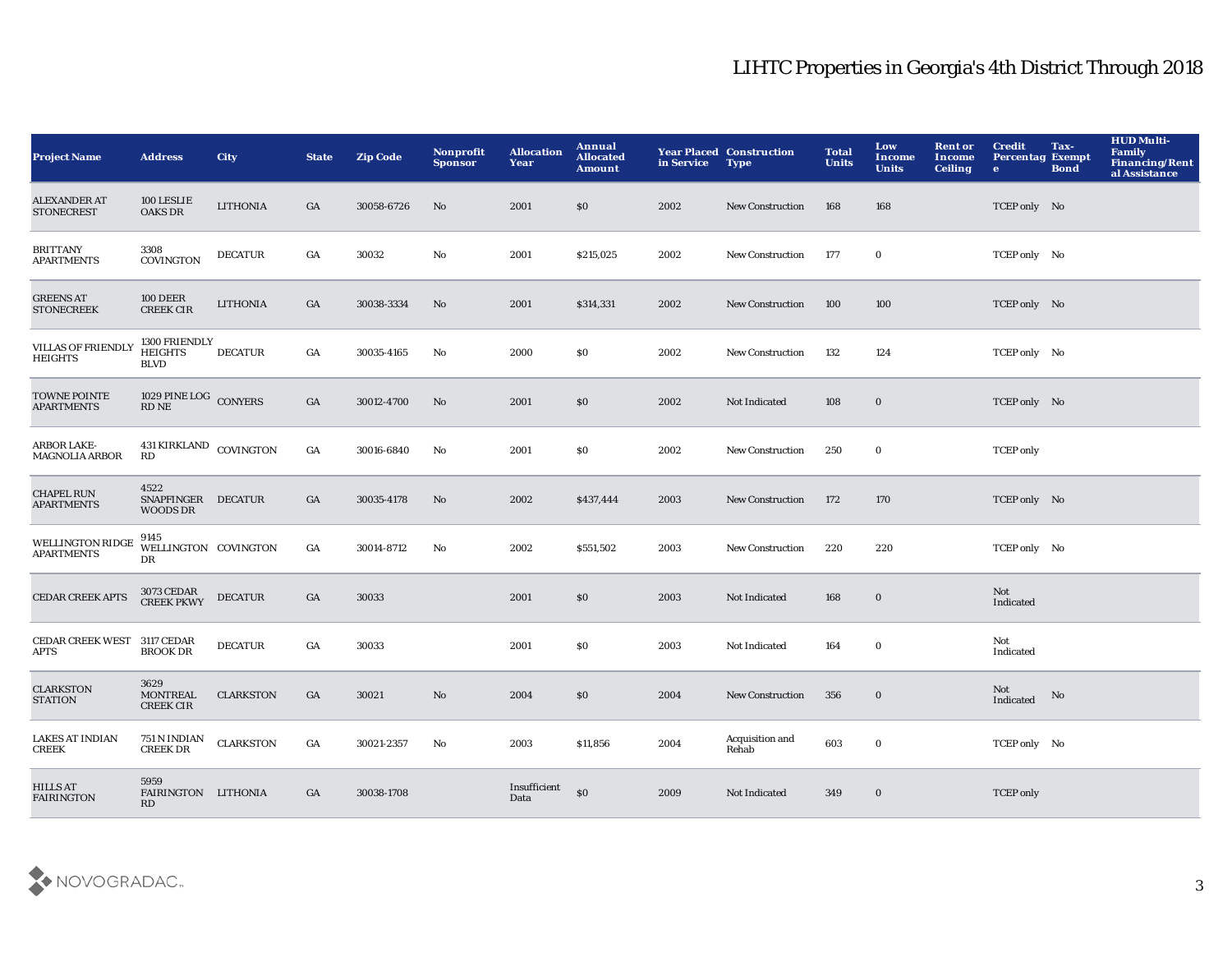| <b>Project Name</b>                          | <b>Address</b>                                                               | City             | <b>State</b> | <b>Zip Code</b> | Nonprofit<br><b>Sponsor</b> | <b>Allocation</b><br>Year | Annual<br><b>Allocated</b><br><b>Amount</b> | in Service | <b>Year Placed Construction</b><br><b>Type</b> | <b>Total</b><br><b>Units</b> | Low<br><b>Income</b><br><b>Units</b> | <b>Rent or</b><br>Income<br><b>Ceiling</b> | <b>Credit</b><br><b>Percentag Exempt</b><br>$\bullet$ | Tax-<br><b>Bond</b> | <b>HUD Multi-</b><br><b>Family</b><br><b>Financing/Rent</b><br>al Assistance |
|----------------------------------------------|------------------------------------------------------------------------------|------------------|--------------|-----------------|-----------------------------|---------------------------|---------------------------------------------|------------|------------------------------------------------|------------------------------|--------------------------------------|--------------------------------------------|-------------------------------------------------------|---------------------|------------------------------------------------------------------------------|
| <b>ALEXANDER AT</b><br><b>STONECREST</b>     | 100 LESLIE<br><b>OAKS DR</b>                                                 | <b>LITHONIA</b>  | GA           | 30058-6726      | No                          | 2001                      | \$0                                         | 2002       | <b>New Construction</b>                        | 168                          | 168                                  |                                            | TCEP only No                                          |                     |                                                                              |
| <b>BRITTANY</b><br><b>APARTMENTS</b>         | 3308<br>COVINGTON                                                            | <b>DECATUR</b>   | GA           | 30032           | $\mathbf{N}\mathbf{o}$      | 2001                      | \$215,025                                   | 2002       | New Construction                               | 177                          | $\bf{0}$                             |                                            | TCEP only No                                          |                     |                                                                              |
| <b>GREENS AT</b><br><b>STONECREEK</b>        | <b>100 DEER</b><br><b>CREEK CIR</b>                                          | <b>LITHONIA</b>  | GA           | 30038-3334      | No                          | 2001                      | \$314,331                                   | 2002       | <b>New Construction</b>                        | 100                          | 100                                  |                                            | TCEP only No                                          |                     |                                                                              |
| <b>VILLAS OF FRIENDLY</b><br><b>HEIGHTS</b>  | 1300 FRIENDLY<br>${\tt HEIGHTS}$<br><b>BLVD</b>                              | <b>DECATUR</b>   | GA           | 30035-4165      | No                          | 2000                      | \$0                                         | 2002       | <b>New Construction</b>                        | 132                          | 124                                  |                                            | TCEP only No                                          |                     |                                                                              |
| TOWNE POINTE<br><b>APARTMENTS</b>            | $1029$ ${\tt PINE\,LOG}\xspace$ ${\tt CONYERS}\xspace$ ${\tt RD\,NE}\xspace$ |                  | GA           | 30012-4700      | $\mathbf{N}\mathbf{o}$      | 2001                      | \$0                                         | 2002       | Not Indicated                                  | 108                          | $\bf{0}$                             |                                            | TCEP only No                                          |                     |                                                                              |
| <b>ARBOR LAKE-</b><br><b>MAGNOLIA ARBOR</b>  | 431 KIRKLAND COVINGTON<br>RD                                                 |                  | GA           | 30016-6840      | No                          | 2001                      | \$0\$                                       | 2002       | <b>New Construction</b>                        | 250                          | $\bf{0}$                             |                                            | <b>TCEP</b> only                                      |                     |                                                                              |
| <b>CHAPEL RUN</b><br><b>APARTMENTS</b>       | 4522<br><b>SNAPFINGER</b><br><b>WOODS DR</b>                                 | <b>DECATUR</b>   | GA           | 30035-4178      | No                          | 2002                      | \$437,444                                   | 2003       | <b>New Construction</b>                        | 172                          | 170                                  |                                            | TCEP only No                                          |                     |                                                                              |
| <b>WELLINGTON RIDGE</b><br><b>APARTMENTS</b> | 9145<br>WELLINGTON COVINGTON<br>$_{\rm DR}$                                  |                  | GA           | 30014-8712      | No                          | 2002                      | \$551,502                                   | 2003       | <b>New Construction</b>                        | 220                          | 220                                  |                                            | TCEP only No                                          |                     |                                                                              |
| <b>CEDAR CREEK APTS</b>                      | 3073 CEDAR<br>CREEK PKWY                                                     | <b>DECATUR</b>   | GA           | 30033           |                             | 2001                      | \$0                                         | 2003       | <b>Not Indicated</b>                           | 168                          | $\bf{0}$                             |                                            | Not<br>Indicated                                      |                     |                                                                              |
| CEDAR CREEK WEST 3117 CEDAR<br>APTS          | <b>BROOK DR</b>                                                              | <b>DECATUR</b>   | GA           | 30033           |                             | 2001                      | $\$0$                                       | 2003       | Not Indicated                                  | 164                          | $\bf{0}$                             |                                            | Not<br>Indicated                                      |                     |                                                                              |
| <b>CLARKSTON</b><br><b>STATION</b>           | 3629<br><b>MONTREAL</b><br><b>CREEK CIR</b>                                  | <b>CLARKSTON</b> | GA           | 30021           | No                          | 2004                      | \$0                                         | 2004       | <b>New Construction</b>                        | 356                          | $\bf{0}$                             |                                            | Not<br>Indicated                                      | No                  |                                                                              |
| LAKES AT INDIAN<br><b>CREEK</b>              | 751 N INDIAN<br><b>CREEK DR</b>                                              | <b>CLARKSTON</b> | GA           | 30021-2357      | $\mathbf{N}\mathbf{o}$      | 2003                      | \$11,856                                    | 2004       | <b>Acquisition and</b><br>Rehab                | 603                          | $\boldsymbol{0}$                     |                                            | TCEP only No                                          |                     |                                                                              |
| <b>HILLS AT</b><br><b>FAIRINGTON</b>         | 5959<br>FAIRINGTON LITHONIA<br>RD                                            |                  | GA           | 30038-1708      |                             | Insufficient<br>Data      | \$0                                         | 2009       | Not Indicated                                  | 349                          | $\bf{0}$                             |                                            | <b>TCEP</b> only                                      |                     |                                                                              |

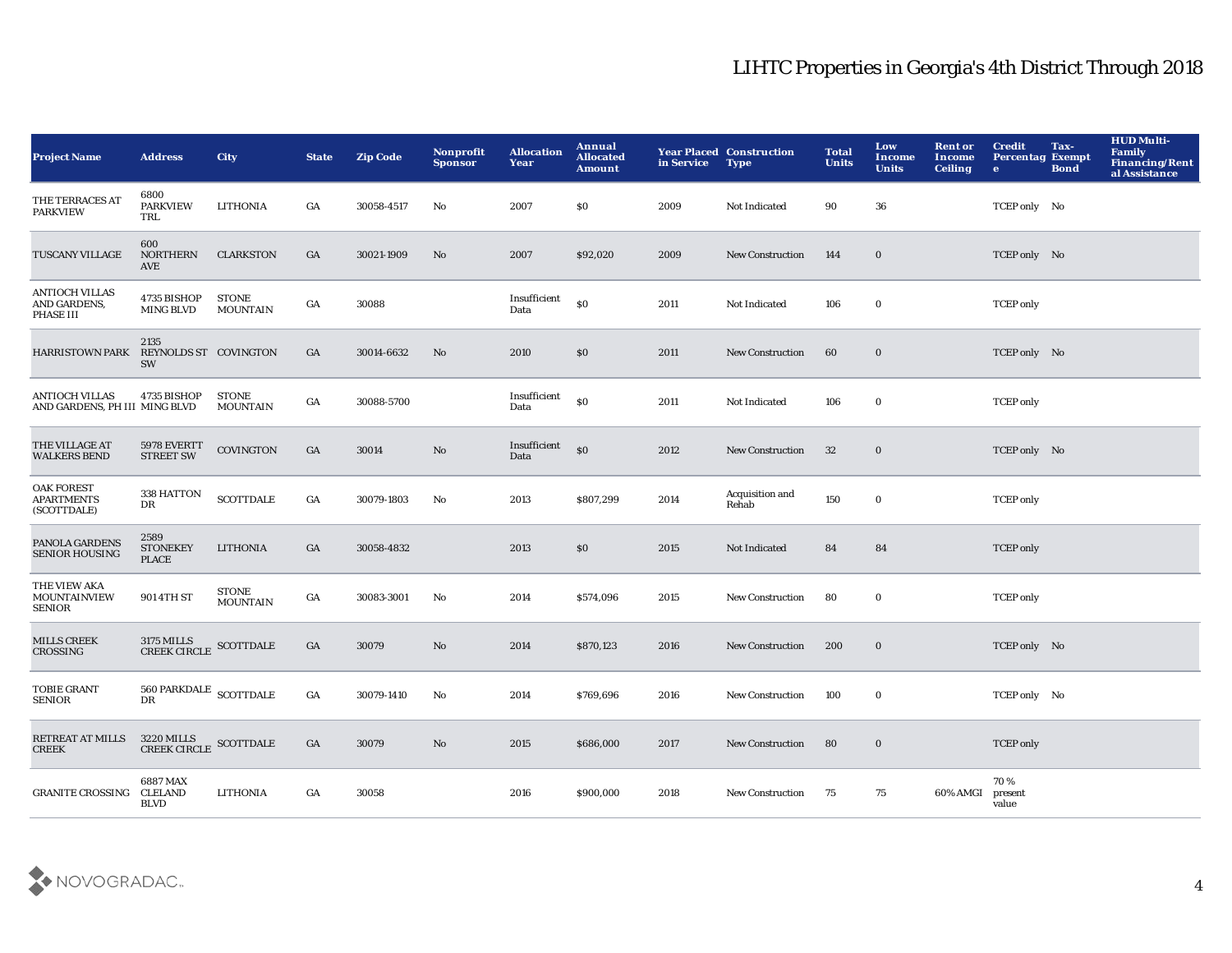| <b>Project Name</b>                                    | <b>Address</b>                                     | <b>City</b>                     | <b>State</b>     | <b>Zip Code</b> | Nonprofit<br><b>Sponsor</b> | <b>Allocation</b><br>Year | Annual<br><b>Allocated</b><br><b>Amount</b> | in Service | <b>Year Placed Construction</b><br><b>Type</b> | <b>Total</b><br><b>Units</b> | Low<br>Income<br><b>Units</b> | <b>Rent or</b><br>Income<br><b>Ceiling</b> | <b>Credit</b><br><b>Percentag Exempt</b><br>$\bullet$ | Tax-<br><b>Bond</b> | <b>HUD Multi-</b><br>Family<br><b>Financing/Rent</b><br>al Assistance |
|--------------------------------------------------------|----------------------------------------------------|---------------------------------|------------------|-----------------|-----------------------------|---------------------------|---------------------------------------------|------------|------------------------------------------------|------------------------------|-------------------------------|--------------------------------------------|-------------------------------------------------------|---------------------|-----------------------------------------------------------------------|
| THE TERRACES AT<br><b>PARKVIEW</b>                     | 6800<br><b>PARKVIEW</b><br>TRL                     | <b>LITHONIA</b>                 | GA               | 30058-4517      | No                          | 2007                      | \$0                                         | 2009       | Not Indicated                                  | 90                           | 36                            |                                            | TCEP only No                                          |                     |                                                                       |
| TUSCANY VILLAGE                                        | 600<br>NORTHERN<br>AVE                             | <b>CLARKSTON</b>                | GA               | 30021-1909      | $\mathbf{N}\mathbf{o}$      | 2007                      | \$92,020                                    | 2009       | New Construction                               | 144                          | $\bf{0}$                      |                                            | TCEP only No                                          |                     |                                                                       |
| <b>ANTIOCH VILLAS</b><br>AND GARDENS,<br>PHASE III     | 4735 BISHOP<br><b>MING BLVD</b>                    | <b>STONE</b><br><b>MOUNTAIN</b> | GA               | 30088           |                             | Insufficient<br>Data      | \$0                                         | 2011       | Not Indicated                                  | 106                          | $\bf{0}$                      |                                            | <b>TCEP</b> only                                      |                     |                                                                       |
| <b>HARRISTOWN PARK</b>                                 | 2135<br>REYNOLDS ST COVINGTON<br><b>SW</b>         |                                 | GA               | 30014-6632      | No                          | 2010                      | \$0                                         | 2011       | <b>New Construction</b>                        | 60                           | $\bf{0}$                      |                                            | TCEP only No                                          |                     |                                                                       |
| <b>ANTIOCH VILLAS</b><br>AND GARDENS, PH III MING BLVD | 4735 BISHOP                                        | <b>STONE</b><br><b>MOUNTAIN</b> | GA               | 30088-5700      |                             | Insufficient<br>Data      | \$0                                         | 2011       | Not Indicated                                  | 106                          | $\bf{0}$                      |                                            | <b>TCEP</b> only                                      |                     |                                                                       |
| THE VILLAGE AT<br><b>WALKERS BEND</b>                  | 5978 EVERTT<br><b>STREET SW</b>                    | <b>COVINGTON</b>                | GA               | 30014           | No                          | Insufficient<br>Data      | \$0                                         | 2012       | <b>New Construction</b>                        | 32                           | $\bf{0}$                      |                                            | TCEP only No                                          |                     |                                                                       |
| <b>OAK FOREST</b><br><b>APARTMENTS</b><br>(SCOTTDALE)  | 338 HATTON<br>DR                                   | <b>SCOTTDALE</b>                | GA               | 30079-1803      | No                          | 2013                      | \$807,299                                   | 2014       | Acquisition and<br>Rehab                       | 150                          | $\bf{0}$                      |                                            | <b>TCEP</b> only                                      |                     |                                                                       |
| PANOLA GARDENS<br><b>SENIOR HOUSING</b>                | 2589<br><b>STONEKEY</b><br><b>PLACE</b>            | <b>LITHONIA</b>                 | GA               | 30058-4832      |                             | 2013                      | \$0                                         | 2015       | Not Indicated                                  | 84                           | 84                            |                                            | <b>TCEP</b> only                                      |                     |                                                                       |
| THE VIEW AKA<br><b>MOUNTAINVIEW</b><br><b>SENIOR</b>   | 901 4TH ST                                         | <b>STONE</b><br><b>MOUNTAIN</b> | $_{\mathrm{GA}}$ | 30083-3001      | $\mathbf{No}$               | 2014                      | \$574,096                                   | 2015       | <b>New Construction</b>                        | 80                           | $\mathbf 0$                   |                                            | <b>TCEP</b> only                                      |                     |                                                                       |
| <b>MILLS CREEK</b><br><b>CROSSING</b>                  | $3175\,\mathrm{MILLS}$ SCOTTDALE CREEK CIRCLE $\,$ |                                 | GA               | 30079           | No                          | 2014                      | \$870,123                                   | 2016       | <b>New Construction</b>                        | 200                          | $\bf{0}$                      |                                            | TCEP only No                                          |                     |                                                                       |
| <b>TOBIE GRANT</b><br>SENIOR                           | 560 PARKDALE SCOTTDALE<br>DR                       |                                 | GA               | 30079-1410      | No                          | 2014                      | \$769,696                                   | 2016       | <b>New Construction</b>                        | 100                          | $\bf{0}$                      |                                            | TCEP only No                                          |                     |                                                                       |
| RETREAT AT MILLS<br><b>CREEK</b>                       | $3220\,{\rm {MILLS}}$ SCOTTDALE CREEK CIRCLE $\,$  |                                 | GA               | 30079           | No                          | 2015                      | \$686,000                                   | 2017       | <b>New Construction</b>                        | 80                           | $\bf{0}$                      |                                            | <b>TCEP</b> only                                      |                     |                                                                       |
| <b>GRANITE CROSSING</b>                                | 6887 MAX<br><b>CLELAND</b><br><b>BLVD</b>          | <b>LITHONIA</b>                 | GA               | 30058           |                             | 2016                      | \$900,000                                   | 2018       | <b>New Construction</b>                        | 75                           | 75                            | 60% AMGI                                   | 70%<br>present<br>value                               |                     |                                                                       |